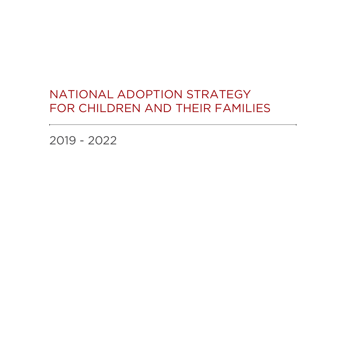## National Adoption Strategy for Children and their Families

2019 - 2022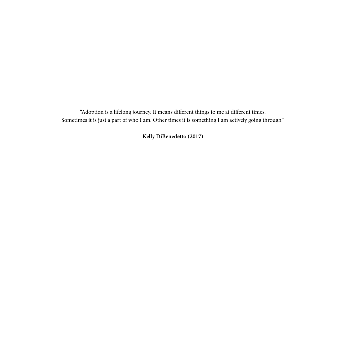"Adoption is a lifelong journey. It means different things to me at different times. Sometimes it is just a part of who I am. Other times it is something I am actively going through."

**Kelly DiBenedetto (2017)**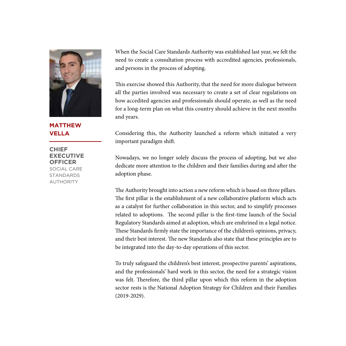

**Matthew Vella**

**Chief Executive Officer** Social Care **STANDARDS AUTHORITY** 

When the Social Care Standards Authority was established last year, we felt the need to create a consultation process with accredited agencies, professionals, and persons in the process of adopting.

This exercise showed this Authority, that the need for more dialogue between all the parties involved was necessary to create a set of clear regulations on how accedited agencies and professionals should operate, as well as the need for a long-term plan on what this country should achieve in the next months and years.

Considering this, the Authority launched a reform which initiated a very important paradigm shift.

Nowadays, we no longer solely discuss the process of adopting, but we also dedicate more attention to the children and their families during and after the adoption phase.

The Authority brought into action a new reform which is based on three pillars. The first pillar is the establishment of a new collaborative platform which acts as a catalyst for further collaboration in this sector, and to simplify processes related to adoptions. The second pillar is the first-time launch of the Social Regulatory Standards aimed at adoption, which are enshrined in a legal notice. These Standards firmly state the importance of the children's opinions, privacy, and their best interest. The new Standards also state that these principles are to be integrated into the day-to-day operations of this sector.

To truly safeguard the children's best interest, prospective parents' aspirations, and the professionals' hard work in this sector, the need for a strategic vision was felt. Therefore, the third pillar upon which this reform in the adoption sector rests is the National Adoption Strategy for Children and their Families (2019-2029).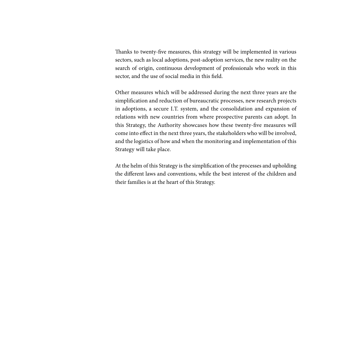Thanks to twenty-five measures, this strategy will be implemented in various sectors, such as local adoptions, post-adoption services, the new reality on the search of origin, continuous development of professionals who work in this sector, and the use of social media in this field.

Other measures which will be addressed during the next three years are the simplification and reduction of bureaucratic processes, new research projects in adoptions, a secure I.T. system, and the consolidation and expansion of relations with new countries from where prospective parents can adopt. In this Strategy, the Authority showcases how these twenty-five measures will come into effect in the next three years, the stakeholders who will be involved, and the logistics of how and when the monitoring and implementation of this Strategy will take place.

At the helm of this Strategy is the simplification of the processes and upholding the different laws and conventions, while the best interest of the children and their families is at the heart of this Strategy.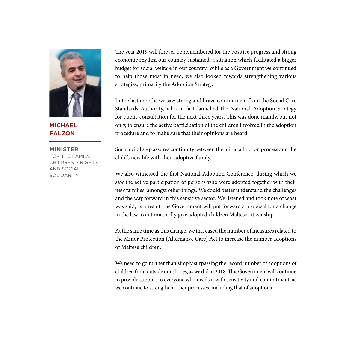

**Michael Falzon**

**Minister** FOR THE FAMILY, CHILDREN'S RIGHTS AND SOCIAL SOLIDARITY

The year 2019 will forever be remembered for the positive progress and strong economic rhythm our country sustained; a situation which facilitated a bigger budget for social welfare in our country. While as a Government we continued to help those most in need, we also looked towards strengthening various strategies, primarily the Adoption Strategy.

In the last months we saw strong and brave commitment from the Social Care Standards Authority, who in fact launched the National Adoption Strategy for public consultation for the next three years. This was done mainly, but not only, to ensure the active participation of the children involved in the adoption procedure and to make sure that their opinions are heard.

Such a vital step assures continuity between the initial adoption process and the child's new life with their adoptive family.

We also witnessed the first National Adoption Conference, during which we saw the active participation of persons who were adopted together with their new families, amongst other things. We could better understand the challenges and the way forward in this sensitive sector. We listened and took note of what was said; as a result, the Government will put forward a proposal for a change in the law to automatically give adopted children Maltese citizenship.

At the same time as this change, we increased the number of measures related to the Minor Protection (Alternative Care) Act to increase the number adoptions of Maltese children.

We need to go further than simply surpassing the record number of adoptions of children from outside our shores, as we did in 2018. This Government will continue to provide support to everyone who needs it with sensitivity and commitment, as we continue to strengthen other processes, including that of adoptions.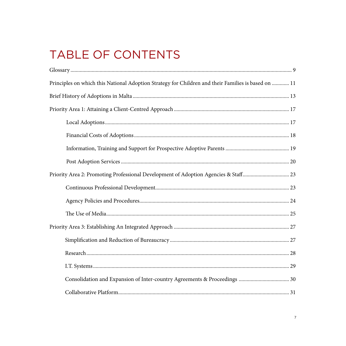# TABLE OF CONTENTS

| Principles on which this National Adoption Strategy for Children and their Families is based on  11 |
|-----------------------------------------------------------------------------------------------------|
|                                                                                                     |
|                                                                                                     |
|                                                                                                     |
|                                                                                                     |
|                                                                                                     |
|                                                                                                     |
| Priority Area 2: Promoting Professional Development of Adoption Agencies & Staff 23                 |
|                                                                                                     |
|                                                                                                     |
|                                                                                                     |
|                                                                                                     |
|                                                                                                     |
|                                                                                                     |
|                                                                                                     |
|                                                                                                     |
|                                                                                                     |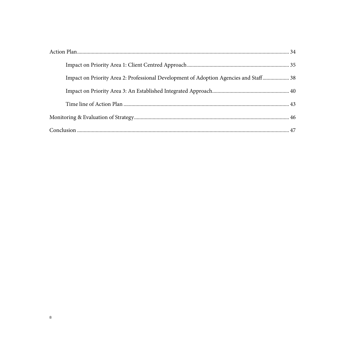| Impact on Priority Area 2: Professional Development of Adoption Agencies and Staff 38 |  |
|---------------------------------------------------------------------------------------|--|
|                                                                                       |  |
|                                                                                       |  |
|                                                                                       |  |
|                                                                                       |  |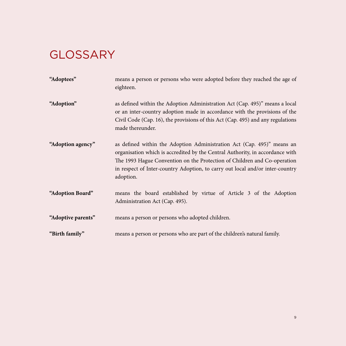# **GLOSSARY**

| "Adoptees"         | means a person or persons who were adopted before they reached the age of<br>eighteen.                                                                                                                                                                                                                                            |
|--------------------|-----------------------------------------------------------------------------------------------------------------------------------------------------------------------------------------------------------------------------------------------------------------------------------------------------------------------------------|
| "Adoption"         | as defined within the Adoption Administration Act (Cap. 495)" means a local<br>or an inter-country adoption made in accordance with the provisions of the<br>Civil Code (Cap. 16), the provisions of this Act (Cap. 495) and any regulations<br>made thereunder.                                                                  |
| "Adoption agency"  | as defined within the Adoption Administration Act (Cap. 495)" means an<br>organisation which is accredited by the Central Authority, in accordance with<br>The 1993 Hague Convention on the Protection of Children and Co-operation<br>in respect of Inter-country Adoption, to carry out local and/or inter-country<br>adoption. |
| "Adoption Board"   | means the board established by virtue of Article 3 of the Adoption<br>Administration Act (Cap. 495).                                                                                                                                                                                                                              |
| "Adoptive parents" | means a person or persons who adopted children.                                                                                                                                                                                                                                                                                   |
| "Birth family"     | means a person or persons who are part of the children's natural family.                                                                                                                                                                                                                                                          |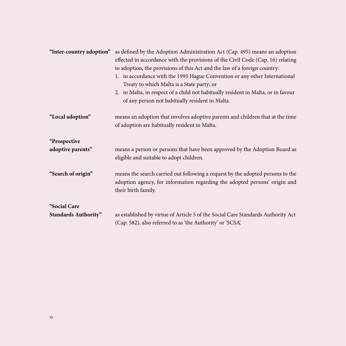| "Inter-country adoption"                    | as defined by the Adoption Administration Act (Cap. 495) means an adoption<br>effected in accordance with the provisions of the Civil Code (Cap. 16) relating<br>to adoption, the provisions of this Act and the law of a foreign country:<br>1. in accordance with the 1993 Hague Convention or any other International<br>Treaty to which Malta is a State party; or<br>2. in Malta, in respect of a child not habitually resident in Malta, or in favour<br>of any person not habitually resident in Malta. |
|---------------------------------------------|----------------------------------------------------------------------------------------------------------------------------------------------------------------------------------------------------------------------------------------------------------------------------------------------------------------------------------------------------------------------------------------------------------------------------------------------------------------------------------------------------------------|
| "Local adoption"                            | means an adoption that involves adoptive parents and children that at the time<br>of adoption are habitually resident in Malta.                                                                                                                                                                                                                                                                                                                                                                                |
| "Prospective<br>adoptive parents"           | means a person or persons that have been approved by the Adoption Board as<br>eligible and suitable to adopt children.                                                                                                                                                                                                                                                                                                                                                                                         |
| "Search of origin"                          | means the search carried out following a request by the adopted persons to the<br>adoption agency, for information regarding the adopted persons' origin and<br>their birth family.                                                                                                                                                                                                                                                                                                                            |
| "Social Care<br><b>Standards Authority"</b> | as established by virtue of Article 5 of the Social Care Standards Authority Act<br>(Cap. 582), also referred to as 'the Authority' or 'SCSA'.                                                                                                                                                                                                                                                                                                                                                                 |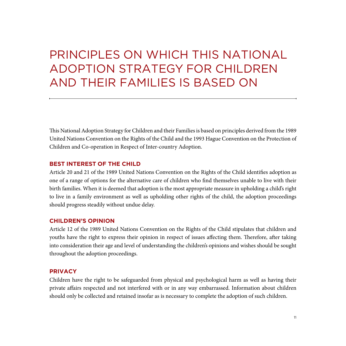## Principles on which this National Adoption Strategy for Children and their Families is based on

This National Adoption Strategy for Children and their Families is based on principles derived from the 1989 United Nations Convention on the Rights of the Child and the 1993 Hague Convention on the Protection of Children and Co-operation in Respect of Inter-country Adoption.

## **Best Interest of the Child**

Article 20 and 21 of the 1989 United Nations Convention on the Rights of the Child identifies adoption as one of a range of options for the alternative care of children who find themselves unable to live with their birth families. When it is deemed that adoption is the most appropriate measure in upholding a child's right to live in a family environment as well as upholding other rights of the child, the adoption proceedings should progress steadily without undue delay.

#### **Children's Opinion**

Article 12 of the 1989 United Nations Convention on the Rights of the Child stipulates that children and youths have the right to express their opinion in respect of issues affecting them. Therefore, after taking into consideration their age and level of understanding the children's opinions and wishes should be sought throughout the adoption proceedings.

#### **Privacy**

Children have the right to be safeguarded from physical and psychological harm as well as having their private affairs respected and not interfered with or in any way embarrassed. Information about children should only be collected and retained insofar as is necessary to complete the adoption of such children.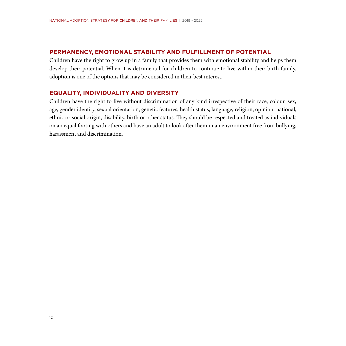### **Permanency, Emotional Stability and Fulfillment of Potential**

Children have the right to grow up in a family that provides them with emotional stability and helps them develop their potential. When it is detrimental for children to continue to live within their birth family, adoption is one of the options that may be considered in their best interest.

#### **Equality, Individuality and Diversity**

Children have the right to live without discrimination of any kind irrespective of their race, colour, sex, age, gender identity, sexual orientation, genetic features, health status, language, religion, opinion, national, ethnic or social origin, disability, birth or other status. They should be respected and treated as individuals on an equal footing with others and have an adult to look after them in an environment free from bullying, harassment and discrimination.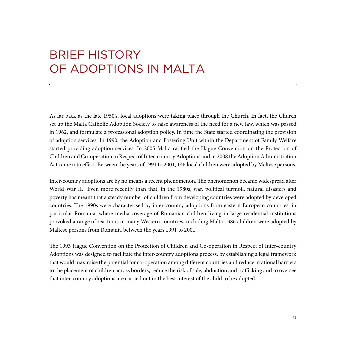## Brief History of Adoptions in Malta

As far back as the late 1950's, local adoptions were taking place through the Church. In fact, the Church set up the Malta Catholic Adoption Society to raise awareness of the need for a new law, which was passed in 1962, and formulate a professional adoption policy. In time the State started coordinating the provision of adoption services. In 1990, the Adoption and Fostering Unit within the Department of Family Welfare started providing adoption services. In 2005 Malta ratified the Hague Convention on the Protection of Children and Co-operation in Respect of Inter-country Adoptions and in 2008 the Adoption Administration Act came into effect. Between the years of 1991 to 2001, 146 local children were adopted by Maltese persons.

Inter-country adoptions are by no means a recent phenomenon. The phenomenon became widespread after World War II. Even more recently than that, in the 1980s, war, political turmoil, natural disasters and poverty has meant that a steady number of children from developing countries were adopted by developed countries. The 1990s were characterised by inter-country adoptions from eastern European countries, in particular Romania, where media coverage of Romanian children living in large residential institutions provoked a range of reactions in many Western countries, including Malta. 386 children were adopted by Maltese persons from Romania between the years 1991 to 2001.

The 1993 Hague Convention on the Protection of Children and Co-operation in Respect of Inter-country Adoptions was designed to facilitate the inter-country adoptions process, by establishing a legal framework that would maximise the potential for co-operation among different countries and reduce irrational barriers to the placement of children across borders, reduce the risk of sale, abduction and trafficking and to oversee that inter-country adoptions are carried out in the best interest of the child to be adopted.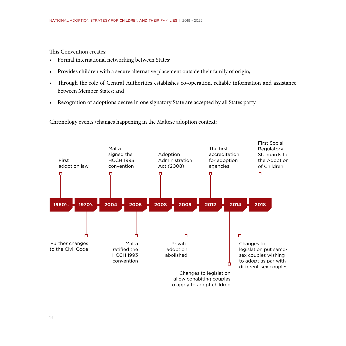This Convention creates:

- • Formal international networking between States;
- Provides children with a secure alternative placement outside their family of origin;
- • Through the role of Central Authorities establishes co-operation, reliable information and assistance between Member States; and
- • Recognition of adoptions decree in one signatory State are accepted by all States party.

Chronology events /changes happening in the Maltese adoption context:

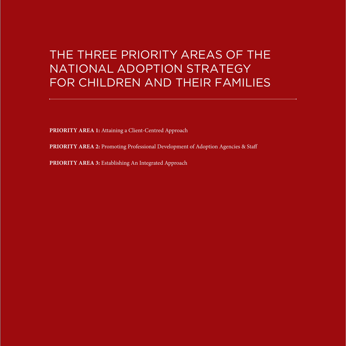## The Three Priority Areas of the National Adoption Strategy for Children and their Families

**PRIORITY AREA 1:** Attaining a Client-Centred Approach

PRIORITY AREA 2: Promoting Professional Development of Adoption Agencies & Staff

PRIORITY AREA 3: Establishing An Integrated Approach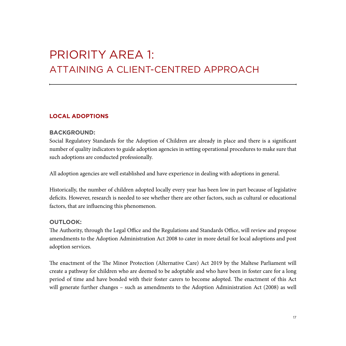## Priority Area 1: Attaining a Client-Centred Approach

## **Local Adoptions**

## **Background:**

Social Regulatory Standards for the Adoption of Children are already in place and there is a significant number of quality indicators to guide adoption agencies in setting operational procedures to make sure that such adoptions are conducted professionally.

All adoption agencies are well established and have experience in dealing with adoptions in general.

Historically, the number of children adopted locally every year has been low in part because of legislative deficits. However, research is needed to see whether there are other factors, such as cultural or educational factors, that are influencing this phenomenon.

## **Outlook:**

The Authority, through the Legal Office and the Regulations and Standards Office, will review and propose amendments to the Adoption Administration Act 2008 to cater in more detail for local adoptions and post adoption services.

The enactment of the The Minor Protection (Alternative Care) Act 2019 by the Maltese Parliament will create a pathway for children who are deemed to be adoptable and who have been in foster care for a long period of time and have bonded with their foster carers to become adopted. The enactment of this Act will generate further changes – such as amendments to the Adoption Administration Act (2008) as well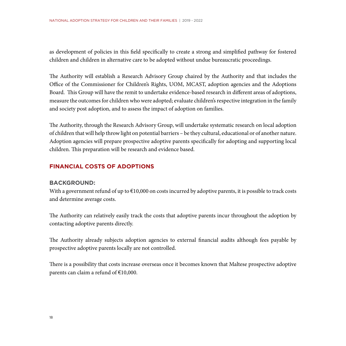as development of policies in this field specifically to create a strong and simplified pathway for fostered children and children in alternative care to be adopted without undue bureaucratic proceedings.

The Authority will establish a Research Advisory Group chaired by the Authority and that includes the Office of the Commissioner for Children's Rights, UOM, MCAST, adoption agencies and the Adoptions Board. This Group will have the remit to undertake evidence-based research in different areas of adoptions, measure the outcomes for children who were adopted; evaluate children's respective integration in the family and society post adoption, and to assess the impact of adoption on families.

The Authority, through the Research Advisory Group, will undertake systematic research on local adoption of children that will help throw light on potential barriers – be they cultural, educational or of another nature. Adoption agencies will prepare prospective adoptive parents specifically for adopting and supporting local children. This preparation will be research and evidence based.

## **Financial Costs of Adoptions**

### **Background:**

With a government refund of up to  $\epsilon$ 10,000 on costs incurred by adoptive parents, it is possible to track costs and determine average costs.

The Authority can relatively easily track the costs that adoptive parents incur throughout the adoption by contacting adoptive parents directly.

The Authority already subjects adoption agencies to external financial audits although fees payable by prospective adoptive parents locally are not controlled.

There is a possibility that costs increase overseas once it becomes known that Maltese prospective adoptive parents can claim a refund of  $£10,000$ .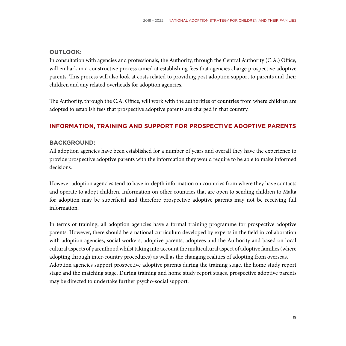## **Outlook:**

In consultation with agencies and professionals, the Authority, through the Central Authority (C.A.) Office, will embark in a constructive process aimed at establishing fees that agencies charge prospective adoptive parents. This process will also look at costs related to providing post adoption support to parents and their children and any related overheads for adoption agencies.

The Authority, through the C.A. Office, will work with the authorities of countries from where children are adopted to establish fees that prospective adoptive parents are charged in that country.

## **Information, Training and Support for Prospective Adoptive Parents**

## **Background:**

All adoption agencies have been established for a number of years and overall they have the experience to provide prospective adoptive parents with the information they would require to be able to make informed decisions.

However adoption agencies tend to have in-depth information on countries from where they have contacts and operate to adopt children. Information on other countries that are open to sending children to Malta for adoption may be superficial and therefore prospective adoptive parents may not be receiving full information.

In terms of training, all adoption agencies have a formal training programme for prospective adoptive parents. However, there should be a national curriculum developed by experts in the field in collaboration with adoption agencies, social workers, adoptive parents, adoptees and the Authority and based on local cultural aspects of parenthood whilst taking into account the multicultural aspect of adoptive families (where adopting through inter-country procedures) as well as the changing realities of adopting from overseas. Adoption agencies support prospective adoptive parents during the training stage, the home study report stage and the matching stage. During training and home study report stages, prospective adoptive parents may be directed to undertake further psycho-social support.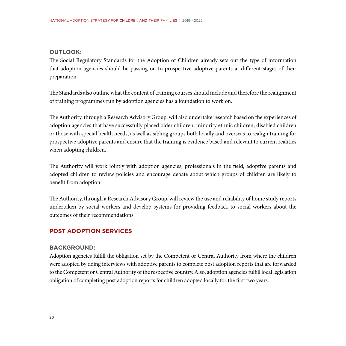## **Outlook:**

The Social Regulatory Standards for the Adoption of Children already sets out the type of information that adoption agencies should be passing on to prospective adoptive parents at different stages of their preparation.

The Standards also outline what the content of training courses should include and therefore the realignment of training programmes run by adoption agencies has a foundation to work on.

The Authority, through a Research Advisory Group, will also undertake research based on the experiences of adoption agencies that have successfully placed older children, minority ethnic children, disabled children or those with special health needs, as well as sibling groups both locally and overseas to realign training for prospective adoptive parents and ensure that the training is evidence based and relevant to current realities when adopting children.

The Authority will work jointly with adoption agencies, professionals in the field, adoptive parents and adopted children to review policies and encourage debate about which groups of children are likely to benefit from adoption.

The Authority, through a Research Advisory Group, will review the use and reliability of home study reports undertaken by social workers and develop systems for providing feedback to social workers about the outcomes of their recommendations.

## **Post Adoption Services**

### **Background:**

Adoption agencies fulfill the obligation set by the Competent or Central Authority from where the children were adopted by doing interviews with adoptive parents to complete post adoption reports that are forwarded to the Competent or Central Authority of the respective country. Also, adoption agencies fulfill local legislation obligation of completing post adoption reports for children adopted locally for the first two years.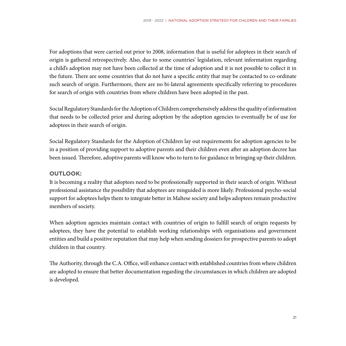For adoptions that were carried out prior to 2008, information that is useful for adoptees in their search of origin is gathered retrospectively. Also, due to some countries' legislation, relevant information regarding a child's adoption may not have been collected at the time of adoption and it is not possible to collect it in the future. There are some countries that do not have a specific entity that may be contacted to co-ordinate such search of origin. Furthermore, there are no bi-lateral agreements specifically referring to procedures for search of origin with countries from where children have been adopted in the past.

Social Regulatory Standards for the Adoption of Children comprehensively address the quality of information that needs to be collected prior and during adoption by the adoption agencies to eventually be of use for adoptees in their search of origin.

Social Regulatory Standards for the Adoption of Children lay out requirements for adoption agencies to be in a position of providing support to adoptive parents and their children even after an adoption decree has been issued. Therefore, adoptive parents will know who to turn to for guidance in bringing up their children.

### **Outlook:**

It is becoming a reality that adoptees need to be professionally supported in their search of origin. Without professional assistance the possibility that adoptees are misguided is more likely. Professional psycho-social support for adoptees helps them to integrate better in Maltese society and helps adoptees remain productive members of society.

When adoption agencies maintain contact with countries of origin to fulfill search of origin requests by adoptees, they have the potential to establish working relationships with organisations and government entities and build a positive reputation that may help when sending dossiers for prospective parents to adopt children in that country.

The Authority, through the C.A. Office, will enhance contact with established countries from where children are adopted to ensure that better documentation regarding the circumstances in which children are adopted is developed.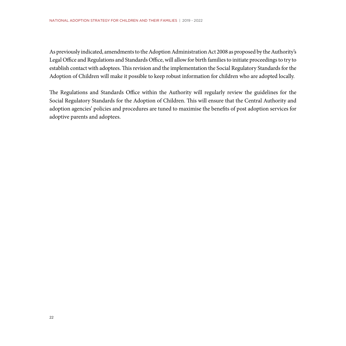As previously indicated, amendments to the Adoption Administration Act 2008 as proposed by the Authority's Legal Office and Regulations and Standards Office, will allow for birth families to initiate proceedings to try to establish contact with adoptees. This revision and the implementation the Social Regulatory Standards for the Adoption of Children will make it possible to keep robust information for children who are adopted locally.

The Regulations and Standards Office within the Authority will regularly review the guidelines for the Social Regulatory Standards for the Adoption of Children. This will ensure that the Central Authority and adoption agencies' policies and procedures are tuned to maximise the benefits of post adoption services for adoptive parents and adoptees.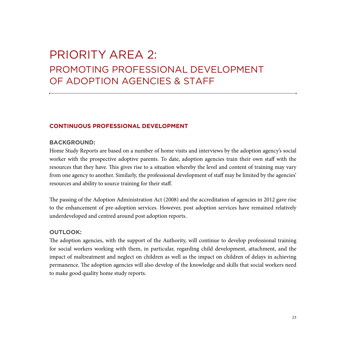## Priority Area 2: Promoting Professional Development of Adoption Agencies & Staff

## **Continuous Professional Development**

## **Background:**

Home Study Reports are based on a number of home visits and interviews by the adoption agency's social worker with the prospective adoptive parents. To date, adoption agencies train their own staff with the resources that they have. This gives rise to a situation whereby the level and content of training may vary from one agency to another. Similarly, the professional development of staff may be limited by the agencies' resources and ability to source training for their staff.

The passing of the Adoption Administration Act (2008) and the accreditation of agencies in 2012 gave rise to the enhancement of pre-adoption services. However, post adoption services have remained relatively underdeveloped and centred around post adoption reports.

### **Outlook:**

The adoption agencies, with the support of the Authority, will continue to develop professional training for social workers working with them, in particular, regarding child development, attachment, and the impact of maltreatment and neglect on children as well as the impact on children of delays in achieving permanence. The adoption agencies will also develop of the knowledge and skills that social workers need to make good quality home study reports.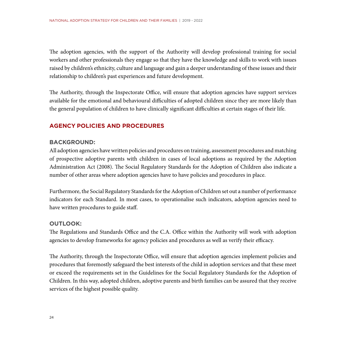The adoption agencies, with the support of the Authority will develop professional training for social workers and other professionals they engage so that they have the knowledge and skills to work with issues raised by children's ethnicity, culture and language and gain a deeper understanding of these issues and their relationship to children's past experiences and future development.

The Authority, through the Inspectorate Office, will ensure that adoption agencies have support services available for the emotional and behavioural difficulties of adopted children since they are more likely than the general population of children to have clinically significant difficulties at certain stages of their life.

## **Agency Policies and Procedures**

## **Background:**

All adoption agencies have written policies and procedures on training, assessment procedures and matching of prospective adoptive parents with children in cases of local adoptions as required by the Adoption Administration Act (2008). The Social Regulatory Standards for the Adoption of Children also indicate a number of other areas where adoption agencies have to have policies and procedures in place.

Furthermore, the Social Regulatory Standards for the Adoption of Children set out a number of performance indicators for each Standard. In most cases, to operationalise such indicators, adoption agencies need to have written procedures to guide staff.

## **Outlook:**

The Regulations and Standards Office and the C.A. Office within the Authority will work with adoption agencies to develop frameworks for agency policies and procedures as well as verify their efficacy.

The Authority, through the Inspectorate Office, will ensure that adoption agencies implement policies and procedures that foremostly safeguard the best interests of the child in adoption services and that these meet or exceed the requirements set in the Guidelines for the Social Regulatory Standards for the Adoption of Children. In this way, adopted children, adoptive parents and birth families can be assured that they receive services of the highest possible quality.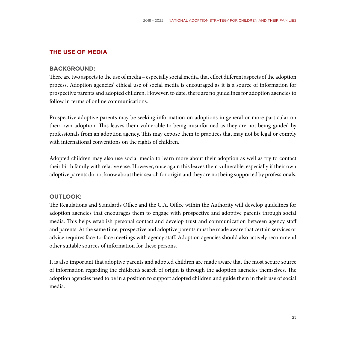## **The Use of Media**

#### **Background:**

There are two aspects to the use of media – especially social media, that effect different aspects of the adoption process. Adoption agencies' ethical use of social media is encouraged as it is a source of information for prospective parents and adopted children. However, to date, there are no guidelines for adoption agencies to follow in terms of online communications.

Prospective adoptive parents may be seeking information on adoptions in general or more particular on their own adoption. This leaves them vulnerable to being misinformed as they are not being guided by professionals from an adoption agency. This may expose them to practices that may not be legal or comply with international conventions on the rights of children.

Adopted children may also use social media to learn more about their adoption as well as try to contact their birth family with relative ease. However, once again this leaves them vulnerable, especially if their own adoptive parents do not know about their search for origin and they are not being supported by professionals.

#### **Outlook:**

The Regulations and Standards Office and the C.A. Office within the Authority will develop guidelines for adoption agencies that encourages them to engage with prospective and adoptive parents through social media. This helps establish personal contact and develop trust and communication between agency staff and parents. At the same time, prospective and adoptive parents must be made aware that certain services or advice requires face-to-face meetings with agency staff. Adoption agencies should also actively recommend other suitable sources of information for these persons.

It is also important that adoptive parents and adopted children are made aware that the most secure source of information regarding the children's search of origin is through the adoption agencies themselves. The adoption agencies need to be in a position to support adopted children and guide them in their use of social media.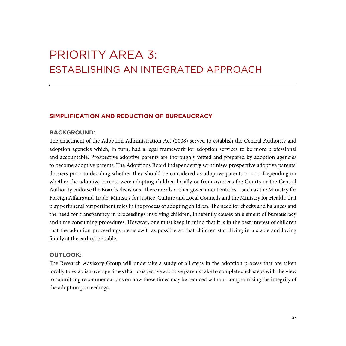## Priority Area 3: Establishing An Integrated Approach

## **Simplification and Reduction of Bureaucracy**

#### **Background:**

The enactment of the Adoption Administration Act (2008) served to establish the Central Authority and adoption agencies which, in turn, had a legal framework for adoption services to be more professional and accountable. Prospective adoptive parents are thoroughly vetted and prepared by adoption agencies to become adoptive parents. The Adoptions Board independently scrutinises prospective adoptive parents' dossiers prior to deciding whether they should be considered as adoptive parents or not. Depending on whether the adoptive parents were adopting children locally or from overseas the Courts or the Central Authority endorse the Board's decisions. There are also other government entities – such as the Ministry for Foreign Affairs and Trade, Ministry for Justice, Culture and Local Councils and the Ministry for Health, that play peripheral but pertinent roles in the process of adopting children. The need for checks and balances and the need for transparency in proceedings involving children, inherently causes an element of bureaucracy and time consuming procedures. However, one must keep in mind that it is in the best interest of children that the adoption proceedings are as swift as possible so that children start living in a stable and loving family at the earliest possible.

### **Outlook:**

The Research Advisory Group will undertake a study of all steps in the adoption process that are taken locally to establish average times that prospective adoptive parents take to complete such steps with the view to submitting recommendations on how these times may be reduced without compromising the integrity of the adoption proceedings.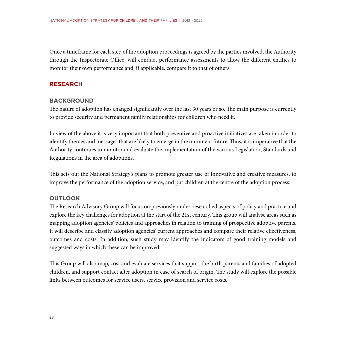Once a timeframe for each step of the adoption proceedings is agreed by the parties involved, the Authority through the Inspectorate Office, will conduct performance assessments to allow the different entities to monitor their own performance and, if applicable, compare it to that of others.

## **Research**

## **Background**

The nature of adoption has changed significantly over the last 30 years or so. The main purpose is currently to provide security and permanent family relationships for children who need it.

In view of the above it is very important that both preventive and proactive initiatives are taken in order to identify themes and messages that are likely to emerge in the imminent future. Thus, it is imperative that the Authority continues to monitor and evaluate the implementation of the various Legislation, Standards and Regulations in the area of adoptions.

This sets out the National Strategy's plans to promote greater use of innovative and creative measures, to improve the performance of the adoption service, and put children at the centre of the adoption process.

## **Outlook**

The Research Advisory Group will focus on previously under-researched aspects of policy and practice and explore the key challenges for adoption at the start of the 21st century. This group will analyse areas such as mapping adoption agencies' policies and approaches in relation to training of prospective adoptive parents. It will describe and classify adoption agencies' current approaches and compare their relative effectiveness, outcomes and costs. In addition, such study may identify the indicators of good training models and suggested ways in which these can be improved.

This Group will also map, cost and evaluate services that support the birth parents and families of adopted children, and support contact after adoption in case of search of origin. The study will explore the possible links between outcomes for service users, service provision and service costs.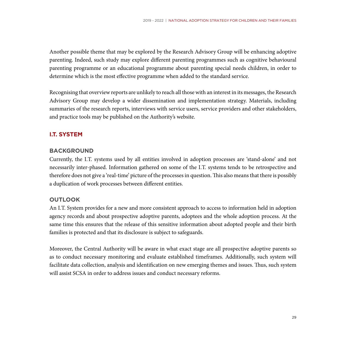Another possible theme that may be explored by the Research Advisory Group will be enhancing adoptive parenting. Indeed, such study may explore different parenting programmes such as cognitive behavioural parenting programme or an educational programme about parenting special needs children, in order to determine which is the most effective programme when added to the standard service.

Recognising that overview reports are unlikely to reach all those with an interest in its messages, the Research Advisory Group may develop a wider dissemination and implementation strategy. Materials, including summaries of the research reports, interviews with service users, service providers and other stakeholders, and practice tools may be published on the Authority's website.

### **I.T. System**

### **Background**

Currently, the I.T. systems used by all entities involved in adoption processes are 'stand-alone' and not necessarily inter-phased. Information gathered on some of the I.T. systems tends to be retrospective and therefore does not give a 'real-time' picture of the processes in question. This also means that there is possibly a duplication of work processes between different entities.

### **Outlook**

An I.T. System provides for a new and more consistent approach to access to information held in adoption agency records and about prospective adoptive parents, adoptees and the whole adoption process. At the same time this ensures that the release of this sensitive information about adopted people and their birth families is protected and that its disclosure is subject to safeguards.

Moreover, the Central Authority will be aware in what exact stage are all prospective adoptive parents so as to conduct necessary monitoring and evaluate established timeframes. Additionally, such system will facilitate data collection, analysis and identification on new emerging themes and issues. Thus, such system will assist SCSA in order to address issues and conduct necessary reforms.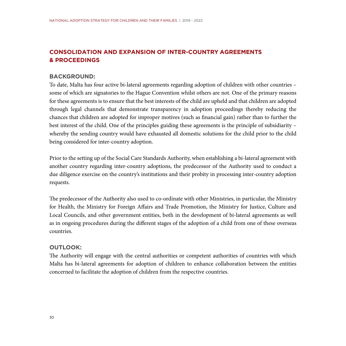## **Consolidation and Expansion of Inter-country Agreements & Proceedings**

### **Background:**

To date, Malta has four active bi-lateral agreements regarding adoption of children with other countries – some of which are signatories to the Hague Convention whilst others are not. One of the primary reasons for these agreements is to ensure that the best interests of the child are upheld and that children are adopted through legal channels that demonstrate transparency in adoption proceedings thereby reducing the chances that children are adopted for improper motives (such as financial gain) rather than to further the best interest of the child. One of the principles guiding these agreements is the principle of subsidiarity – whereby the sending country would have exhausted all domestic solutions for the child prior to the child being considered for inter-country adoption.

Prior to the setting up of the Social Care Standards Authority, when establishing a bi-lateral agreement with another country regarding inter-country adoptions, the predecessor of the Authority used to conduct a due diligence exercise on the country's institutions and their probity in processing inter-country adoption requests.

The predecessor of the Authority also used to co-ordinate with other Ministries, in particular, the Ministry for Health, the Ministry for Foreign Affairs and Trade Promotion, the Ministry for Justice, Culture and Local Councils, and other government entities, both in the development of bi-lateral agreements as well as in ongoing procedures during the different stages of the adoption of a child from one of these overseas countries.

## **Outlook:**

The Authority will engage with the central authorities or competent authorities of countries with which Malta has bi-lateral agreements for adoption of children to enhance collaboration between the entities concerned to facilitate the adoption of children from the respective countries.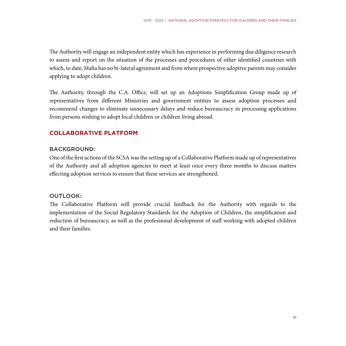The Authority will engage an independent entity which has experience in performing due diligence research to assess and report on the situation of the processes and procedures of other identified countries with which, to date, Malta has no bi-lateral agreement and from where prospective adoptive parents may consider applying to adopt children.

The Authority, through the C.A. Office, will set up an Adoptions Simplification Group made up of representatives from different Ministries and government entities to assess adoption processes and recommend changes to eliminate unnecessary delays and reduce bureaucracy in processing applications from persons wishing to adopt local children or children living abroad.

## **Collaborative Platform**

### **Background:**

One of the first actions of the SCSA was the setting up of a Collaborative Platform made up of representatives of the Authority and all adoption agencies to meet at least once every three months to discuss matters effecting adoption services to ensure that these services are strengthened.

### **Outlook:**

The Collaborative Platform will provide crucial feedback for the Authority with regards to the implementation of the Social Regulatory Standards for the Adoption of Children, the simplification and reduction of bureaucracy, as well as the professional development of staff working with adopted children and their families.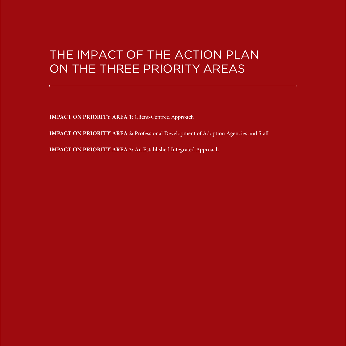## The Impact of the Action Plan on the Three Priority Areas

**IMPACT ON PRIORITY AREA 1: Client-Centred Approach** 

**IMPACT ON PRIORITY AREA 2:** Professional Development of Adoption Agencies and Staff

**IMPACT ON PRIORITY AREA 3: An Established Integrated Approach**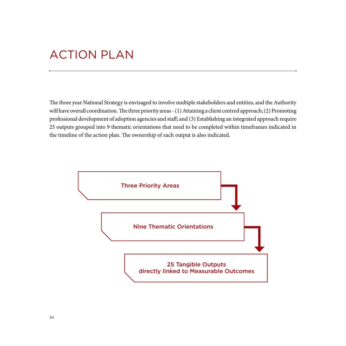## Action Plan

The three year National Strategy is envisaged to involve multiple stakeholders and entities, and the Authority will have overall coordination. The three priority areas - (1) Attaining a client centred approach; (2) Promoting professional development of adoption agencies and staff; and (3) Establishing an integrated approach require 25 outputs grouped into 9 thematic orientations that need to be completed within timeframes indicated in the timeline of the action plan. The ownership of each output is also indicated.

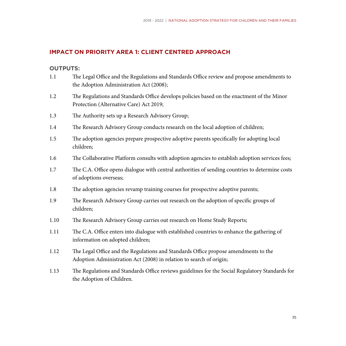## **Impact on Priority Area 1: Client Centred Approach**

### **Outputs:**

- 1.1 The Legal Office and the Regulations and Standards Office review and propose amendments to the Adoption Administration Act (2008);
- 1.2 The Regulations and Standards Office develops policies based on the enactment of the Minor Protection (Alternative Care) Act 2019;
- 1.3 The Authority sets up a Research Advisory Group;
- 1.4 The Research Advisory Group conducts research on the local adoption of children;
- 1.5 The adoption agencies prepare prospective adoptive parents specifically for adopting local children;
- 1.6 The Collaborative Platform consults with adoption agencies to establish adoption services fees;
- 1.7 The C.A. Office opens dialogue with central authorities of sending countries to determine costs of adoptions overseas;
- 1.8 The adoption agencies revamp training courses for prospective adoptive parents;
- 1.9 The Research Advisory Group carries out research on the adoption of specific groups of children;
- 1.10 The Research Advisory Group carries out research on Home Study Reports;
- 1.11 The C.A. Office enters into dialogue with established countries to enhance the gathering of information on adopted children;
- 1.12 The Legal Office and the Regulations and Standards Office propose amendments to the Adoption Administration Act (2008) in relation to search of origin;
- 1.13 The Regulations and Standards Office reviews guidelines for the Social Regulatory Standards for the Adoption of Children.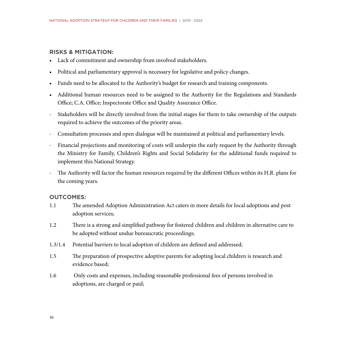## **Risks & Mitigation:**

- • Lack of commitment and ownership from involved stakeholders.
- Political and parliamentary approval is necessary for legislative and policy changes.
- Funds need to be allocated to the Authority's budget for research and training components.
- • Additional human resources need to be assigned to the Authority for the Regulations and Standards Office; C.A. Office; Inspectorate Office and Quality Assurance Office.
- Stakeholders will be directly involved from the initial stages for them to take ownership of the outputs required to achieve the outcomes of the priority areas.
- Consultation processes and open dialogue will be maintained at political and parliamentary levels.
- Financial projections and monitoring of costs will underpin the early request by the Authority through the Ministry for Family, Children's Rights and Social Solidarity for the additional funds required to implement this National Strategy.
- The Authority will factor the human resources required by the different Offices within its H.R. plans for the coming years.

#### **Outcomes:**

- 1.1 The amended Adoption Administration Act caters in more details for local adoptions and post adoption services;
- 1.2 There is a strong and simplified pathway for fostered children and children in alternative care to be adopted without undue bureaucratic proceedings;
- 1.3/1.4 Potential barriers to local adoption of children are defined and addressed;
- 1.5 The preparation of prospective adoptive parents for adopting local children is research and evidence based;
- 1.6 Only costs and expenses, including reasonable professional fees of persons involved in adoptions, are charged or paid;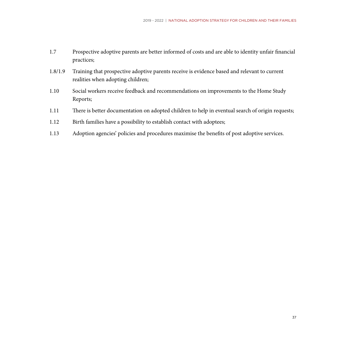- 1.7 Prospective adoptive parents are better informed of costs and are able to identity unfair financial practices;
- 1.8/1.9 Training that prospective adoptive parents receive is evidence based and relevant to current realities when adopting children;
- 1.10 Social workers receive feedback and recommendations on improvements to the Home Study Reports;
- 1.11 There is better documentation on adopted children to help in eventual search of origin requests;
- 1.12 Birth families have a possibility to establish contact with adoptees;
- 1.13 Adoption agencies' policies and procedures maximise the benefits of post adoptive services.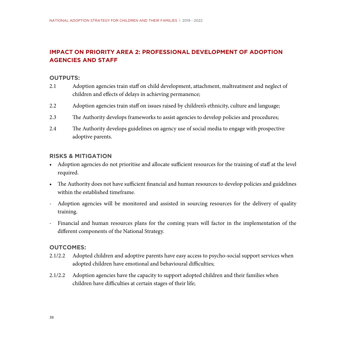## **Impact on Priority Area 2: Professional Development of Adoption Agencies and Staff**

#### **Outputs:**

- 2.1 Adoption agencies train staff on child development, attachment, maltreatment and neglect of children and effects of delays in achieving permanence;
- 2.2 Adoption agencies train staff on issues raised by children's ethnicity, culture and language;
- 2.3 The Authority develops frameworks to assist agencies to develop policies and procedures;
- 2.4 The Authority develops guidelines on agency use of social media to engage with prospective adoptive parents.

### **Risks & Mitigation**

- • Adoption agencies do not prioritise and allocate sufficient resources for the training of staff at the level required.
- The Authority does not have sufficient financial and human resources to develop policies and guidelines within the established timeframe.
- Adoption agencies will be monitored and assisted in sourcing resources for the delivery of quality training.
- Financial and human resources plans for the coming years will factor in the implementation of the different components of the National Strategy.

### **Outcomes:**

- 2.1/2.2 Adopted children and adoptive parents have easy access to psycho-social support services when adopted children have emotional and behavioural difficulties;
- 2.1/2.2 Adoption agencies have the capacity to support adopted children and their families when children have difficulties at certain stages of their life;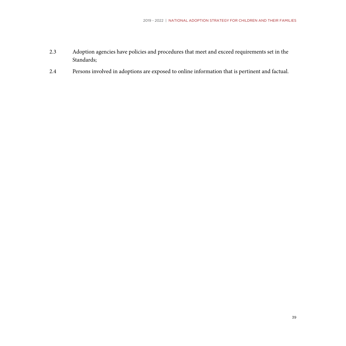- 2.3 Adoption agencies have policies and procedures that meet and exceed requirements set in the Standards;
- 2.4 Persons involved in adoptions are exposed to online information that is pertinent and factual.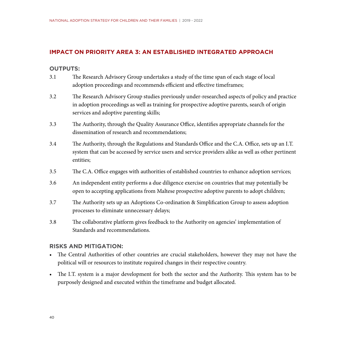## **Impact on Priority Area 3: An Established Integrated Approach**

#### **Outputs:**

- 3.1 The Research Advisory Group undertakes a study of the time span of each stage of local adoption proceedings and recommends efficient and effective timeframes;
- 3.2 The Research Advisory Group studies previously under-researched aspects of policy and practice in adoption proceedings as well as training for prospective adoptive parents, search of origin services and adoptive parenting skills;
- 3.3 The Authority, through the Quality Assurance Office, identifies appropriate channels for the dissemination of research and recommendations;
- 3.4 The Authority, through the Regulations and Standards Office and the C.A. Office, sets up an I.T. system that can be accessed by service users and service providers alike as well as other pertinent entities;
- 3.5 The C.A. Office engages with authorities of established countries to enhance adoption services;
- 3.6 An independent entity performs a due diligence exercise on countries that may potentially be open to accepting applications from Maltese prospective adoptive parents to adopt children;
- 3.7 The Authority sets up an Adoptions Co-ordination & Simplification Group to assess adoption processes to eliminate unnecessary delays;
- 3.8 The collaborative platform gives feedback to the Authority on agencies' implementation of Standards and recommendations.

### **Risks and Mitigation:**

- • The Central Authorities of other countries are crucial stakeholders, however they may not have the political will or resources to institute required changes in their respective country.
- The I.T. system is a major development for both the sector and the Authority. This system has to be purposely designed and executed within the timeframe and budget allocated.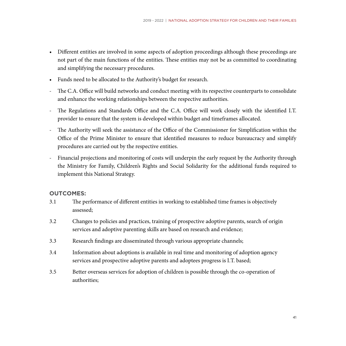- • Different entities are involved in some aspects of adoption proceedings although these proceedings are not part of the main functions of the entities. These entities may not be as committed to coordinating and simplifying the necessary procedures.
- • Funds need to be allocated to the Authority's budget for research.
- The C.A. Office will build networks and conduct meeting with its respective counterparts to consolidate and enhance the working relationships between the respective authorities.
- The Regulations and Standards Office and the C.A. Office will work closely with the identified I.T. provider to ensure that the system is developed within budget and timeframes allocated.
- The Authority will seek the assistance of the Office of the Commissioner for Simplification within the Office of the Prime Minister to ensure that identified measures to reduce bureaucracy and simplify procedures are carried out by the respective entities.
- Financial projections and monitoring of costs will underpin the early request by the Authority through the Ministry for Family, Children's Rights and Social Solidarity for the additional funds required to implement this National Strategy.

### **Outcomes:**

- 3.1 The performance of different entities in working to established time frames is objectively assessed;
- 3.2 Changes to policies and practices, training of prospective adoptive parents, search of origin services and adoptive parenting skills are based on research and evidence;
- 3.3 Research findings are disseminated through various appropriate channels;
- 3.4 Information about adoptions is available in real time and monitoring of adoption agency services and prospective adoptive parents and adoptees progress is I.T. based;
- 3.5 Better overseas services for adoption of children is possible through the co-operation of authorities;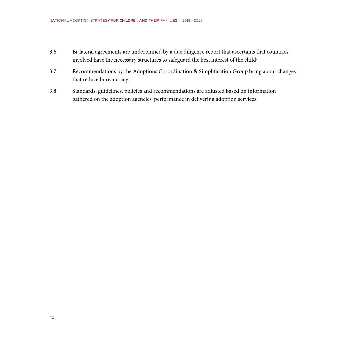- 3.6 Bi-lateral agreements are underpinned by a due diligence report that ascertains that countries involved have the necessary structures to safeguard the best interest of the child;
- 3.7 Recommendations by the Adoptions Co-ordination & Simplification Group bring about changes that reduce bureaucracy;
- 3.8 Standards, guidelines, policies and recommendations are adjusted based on information gathered on the adoption agencies' performance in delivering adoption services.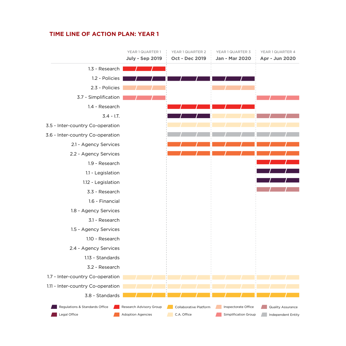## **Time line of action plan: year 1**

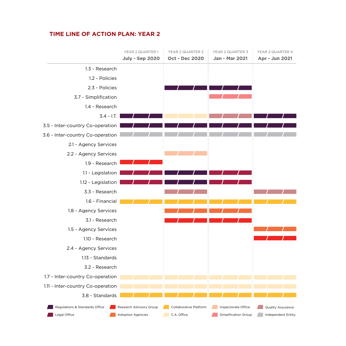## **Time line of action plan: year 2**

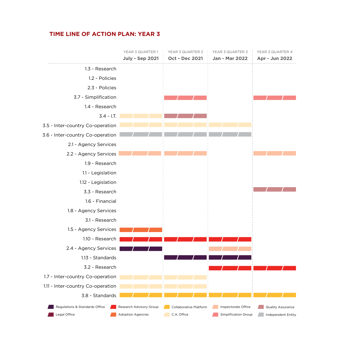## **Time line of action plan: year 3**

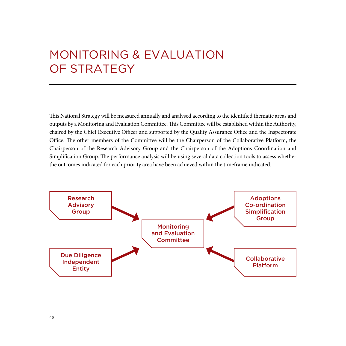## Monitoring & Evaluation OF STRATEGY

This National Strategy will be measured annually and analysed according to the identified thematic areas and outputs by a Monitoring and Evaluation Committee. This Committee will be established within the Authority, chaired by the Chief Executive Officer and supported by the Quality Assurance Office and the Inspectorate Office. The other members of the Committee will be the Chairperson of the Collaborative Platform, the Chairperson of the Research Advisory Group and the Chairperson of the Adoptions Coordination and Simplification Group. The performance analysis will be using several data collection tools to assess whether the outcomes indicated for each priority area have been achieved within the timeframe indicated.

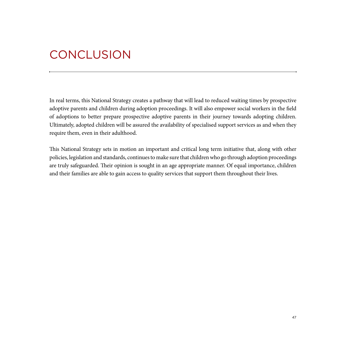## **CONCLUSION**

In real terms, this National Strategy creates a pathway that will lead to reduced waiting times by prospective adoptive parents and children during adoption proceedings. It will also empower social workers in the field of adoptions to better prepare prospective adoptive parents in their journey towards adopting children. Ultimately, adopted children will be assured the availability of specialised support services as and when they require them, even in their adulthood.

This National Strategy sets in motion an important and critical long term initiative that, along with other policies, legislation and standards, continues to make sure that children who go through adoption proceedings are truly safeguarded. Their opinion is sought in an age appropriate manner. Of equal importance, children and their families are able to gain access to quality services that support them throughout their lives.